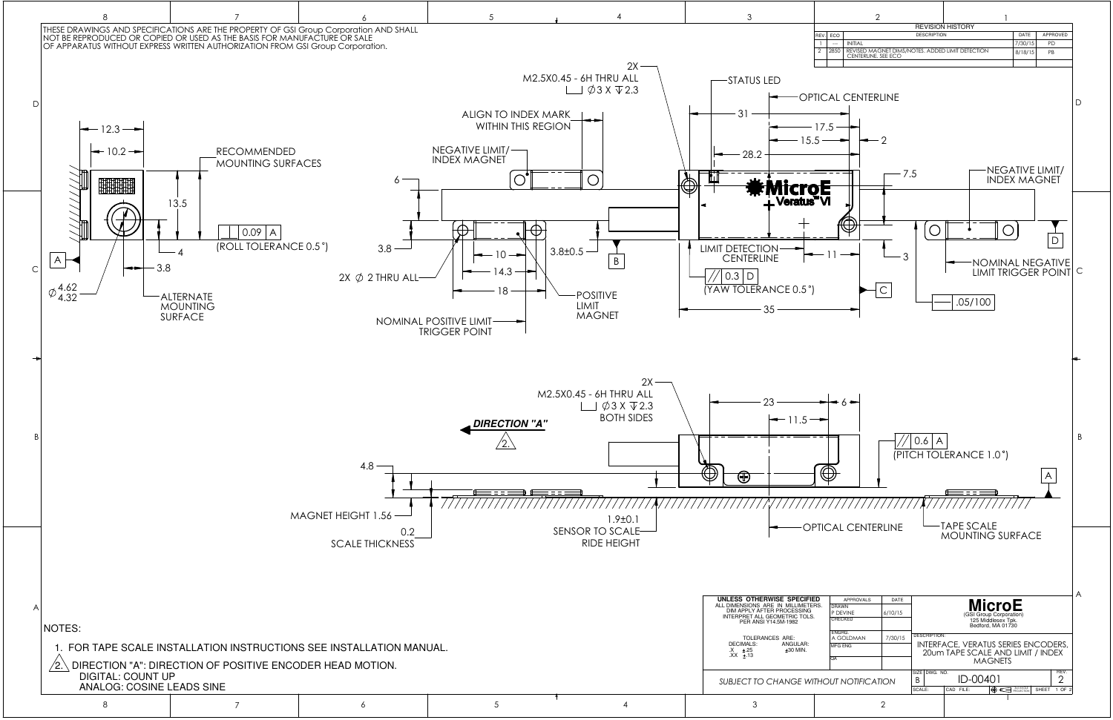